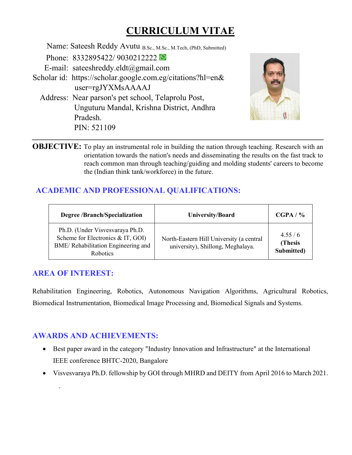# **CURRICULUM VITAE**

 Name: Sateesh Reddy Avutu B.Sc., M.Sc., M.Tech, (PhD, Submitted) Phone: 8332895422/90302122222 E-mail: sateeshreddy.eldt@gmail.com Scholar id: https://scholar.google.com.eg/citations?hl=en& user=rgJYXMsAAAAJ Address: Near parson's pet school, Telaprolu Post, Unguturu Mandal, Krishna District, Andhra Pradesh. PIN: 521109



**OBJECTIVE:** To play an instrumental role in building the nation through teaching. Research with an orientation towards the nation's needs and disseminating the results on the fast track to reach common man through teaching/guiding and molding students' careers to become the (Indian think tank/workforce) in the future.

# **ACADEMIC AND PROFESSIONAL QUALIFICATIONS:**

| <b>Degree /Branch/Specialization</b>                                                                                   | <b>University/Board</b>                                                       | CGPA / %                         |
|------------------------------------------------------------------------------------------------------------------------|-------------------------------------------------------------------------------|----------------------------------|
| Ph.D. (Under Visvesvaraya Ph.D.<br>Scheme for Electronics & IT, GOI)<br>BME/Rehabilitation Engineering and<br>Robotics | North-Eastern Hill University (a central<br>university), Shillong, Meghalaya. | 4.55/6<br>(Thesis)<br>Submitted) |

### **AREA OF INTEREST:**

.

Rehabilitation Engineering, Robotics, Autonomous Navigation Algorithms, Agricultural Robotics, Biomedical Instrumentation, Biomedical Image Processing and, Biomedical Signals and Systems.

## **AWARDS AND ACHIEVEMENTS:**

- Best paper award in the category "Industry Innovation and Infrastructure" at the International IEEE conference BHTC-2020, Bangalore
- Visvesvaraya Ph.D. fellowship by GOI through MHRD and DEITY from April 2016 to March 2021.